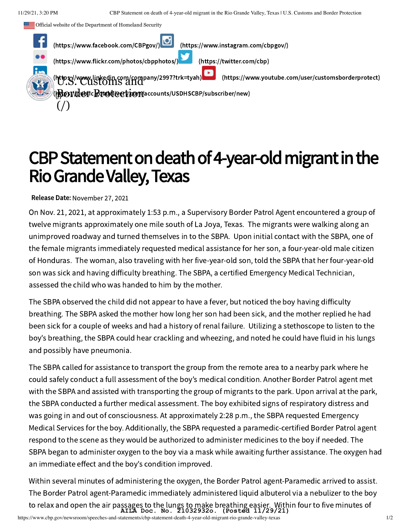



## CBP Statement on death of 4-year-old migrant in the Rio Grande Valley, Texas Rio Grande Valley, Texas

Release Date: November 27, 2021

On Nov. 21, 2021, at approximately 1:53 p.m., a Supervisory Border Patrol Agent encountered a group of twelve migrants approximately one mile south of La Joya, Texas. The migrants were walking along an unimproved roadway and turned themselves in to the SBPA. Upon initial contact with the SBPA, one of the female migrants immediately requested medical assistance for her son, a four-year-old male citizen of Honduras. The woman, also traveling with her five-year-old son, told the SBPA that her four-year-old son was sick and having difficulty breathing. The SBPA, a certified Emergency Medical Technician, assessed the child who was handed to him by the mother.

The SBPA observed the child did not appear to have a fever, but noticed the boy having difficulty breathing. The SBPA asked the mother how long her son had been sick, and the mother replied he had been sick for a couple of weeks and had a history of renal failure. Utilizing a stethoscope to listen to the boy's breathing, the SBPA could hear crackling and wheezing, and noted he could have fluid in his lungs and possibly have pneumonia.

The SBPA called for assistance to transport the group from the remote area to a nearby park where he could safely conduct a full assessment of the boy's medical condition. Another Border Patrol agent met with the SBPA and assisted with transporting the group of migrants to the park. Upon arrival at the park, the SBPA conducted a further medical assessment. The boy exhibited signs of respiratory distress and was going in and out of consciousness. At approximately 2:28 p.m., the SBPA requested Emergency Medical Services for the boy. Additionally, the SBPA requested a paramedic-certified Border Patrol agent respond to the scene as they would be authorized to administer medicines to the boy if needed. The SBPA began to administer oxygen to the boy via a mask while awaiting further assistance. The oxygen had an immediate effect and the boy's condition improved.

Within several minutes of administering the oxygen, the Border Patrol agent-Paramedic arrived to assist. The Border Patrol agent-Paramedic immediately administered liquid albuterol via a nebulizer to the boy to relax and open the air passages to the lungs to make breathing easier. Within four to five minutes of **AILA Doc. No. 21032932o. (Posted 11/29/21)**